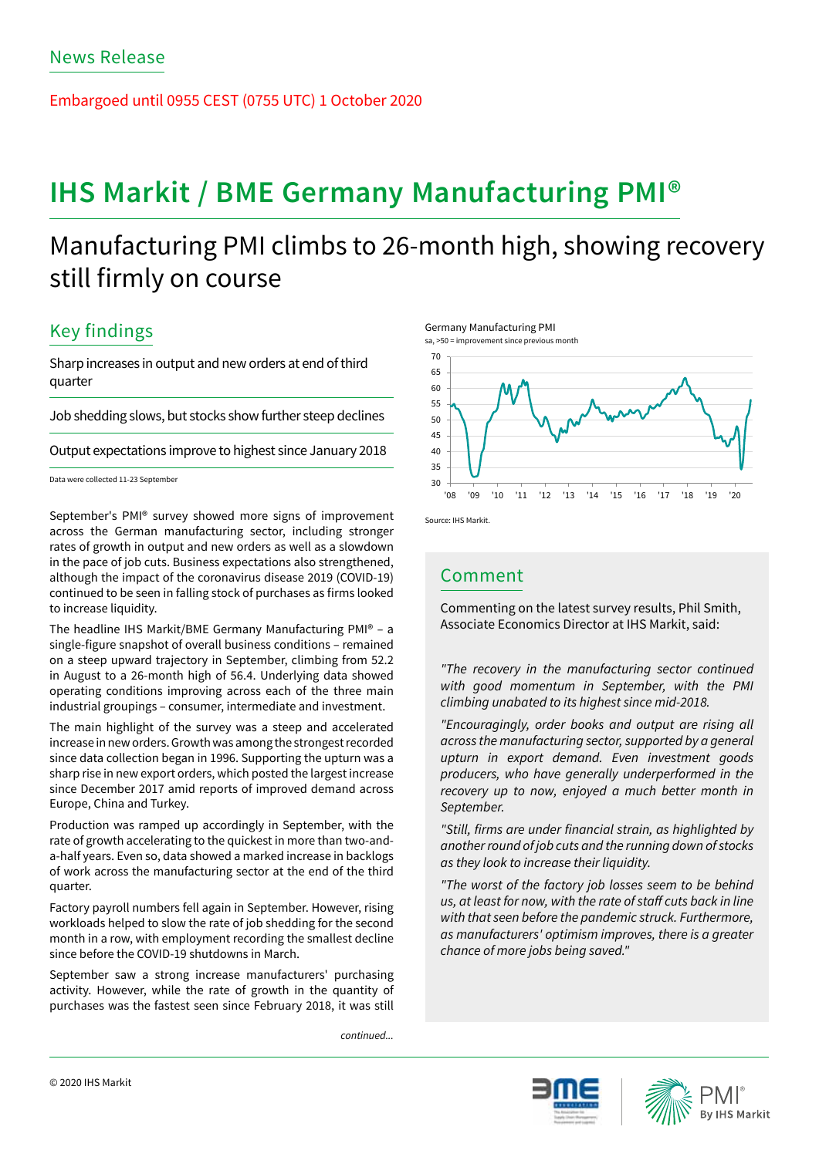Embargoed until 0955 CEST (0755 UTC) 1 October 2020

# **IHS Markit / BME Germany Manufacturing PMI®**

## Manufacturing PMI climbs to 26-month high, showing recovery still firmly on course

## Key findings

Sharp increases in output and new orders at end of third quarter

Job shedding slows, but stocks show further steep declines

Output expectations improve to highest since January 2018

Data were collected 11-23 September

September's PMI® survey showed more signs of improvement Source: IHS Markit. across the German manufacturing sector, including stronger rates of growth in output and new orders as well as a slowdown in the pace of job cuts. Business expectations also strengthened, although the impact of the coronavirus disease 2019 (COVID-19) continued to be seen in falling stock of purchases as firms looked to increase liquidity.

The headline IHS Markit/BME Germany Manufacturing PMI® – a single-figure snapshot of overall business conditions – remained on a steep upward trajectory in September, climbing from 52.2 in August to a 26-month high of 56.4. Underlying data showed operating conditions improving across each of the three main industrial groupings – consumer, intermediate and investment.

The main highlight of the survey was a steep and accelerated increase in new orders. Growth was among the strongest recorded since data collection began in 1996. Supporting the upturn was a sharp rise in new export orders, which posted the largest increase since December 2017 amid reports of improved demand across Europe, China and Turkey.

Production was ramped up accordingly in September, with the rate of growth accelerating to the quickest in more than two-anda-half years. Even so, data showed a marked increase in backlogs of work across the manufacturing sector at the end of the third quarter.

Factory payroll numbers fell again in September. However, rising workloads helped to slow the rate of job shedding for the second month in a row, with employment recording the smallest decline since before the COVID-19 shutdowns in March.

September saw a strong increase manufacturers' purchasing activity. However, while the rate of growth in the quantity of purchases was the fastest seen since February 2018, it was still

*continued...*







### Comment

Commenting on the latest survey results, Phil Smith, Associate Economics Director at IHS Markit, said:

*"The recovery in the manufacturing sector continued with good momentum in September, with the PMI climbing unabated to its highest since mid-2018.* 

*"Encouragingly, order books and output are rising all across the manufacturing sector, supported by a general upturn in export demand. Even investment goods producers, who have generally underperformed in the recovery up to now, enjoyed a much better month in September.* 

"Still, firms are under financial strain, as highlighted by *another round of job cuts and the running down of stocks as they look to increase their liquidity.* 

*"The worst of the factory job losses seem to be behind*  us, at least for now, with the rate of staff cuts back in line *with that seen before the pandemic struck. Furthermore, as manufacturers' optimism improves, there is a greater chance of more jobs being saved."*